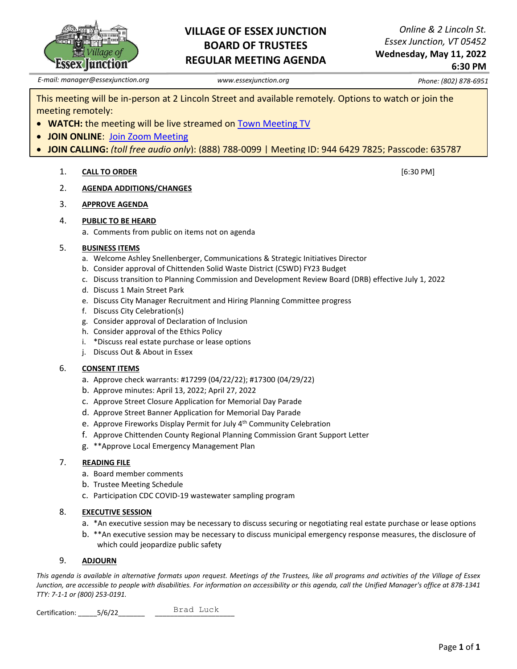

## **VILLAGE OF ESSEX JUNCTION BOARD OF TRUSTEES REGULAR MEETING AGENDA**

*Online & 2 Lincoln St. Essex Junction, VT 05452* **Wednesday, May 11, 2022**

## **6:30 PM**

*E-mail: manager@essexjunction.org www.essexjunction.org Phone: (802) 878-6951*

This meeting will be in-person at 2 Lincoln Street and available remotely*.* Options to watch or join the meeting remotely:

- **WATCH:** the meeting will be live streamed on **Town** Meeting TV
- **JOIN ONLINE**: [Join Zoom Meeting](https://zoom.us/j/94464297825?pwd=T0RTL0VteHZXNHlteTJpQi83WUg4QT09)
- **JOIN CALLING:** *(toll free audio only*): (888) 788-0099 | Meeting ID: 944 6429 7825; Passcode: 635787

### 1. **CALL TO ORDER** [6:30 PM]

- 2. **AGENDA ADDITIONS/CHANGES**
- 3. **APPROVE AGENDA**
- 4. **PUBLIC TO BE HEARD**
	- a. Comments from public on items not on agenda

#### 5. **BUSINESS ITEMS**

- a. Welcome Ashley Snellenberger, Communications & Strategic Initiatives Director
- b. Consider approval of Chittenden Solid Waste District (CSWD) FY23 Budget
- c. Discuss transition to Planning Commission and Development Review Board (DRB) effective July 1, 2022
- d. Discuss 1 Main Street Park
- e. Discuss City Manager Recruitment and Hiring Planning Committee progress
- f. Discuss City Celebration(s)
- g. Consider approval of Declaration of Inclusion
- h. Consider approval of the Ethics Policy
- i. \*Discuss real estate purchase or lease options
- j. Discuss Out & About in Essex

### 6. **CONSENT ITEMS**

- a. Approve check warrants: #17299 (04/22/22); #17300 (04/29/22)
- b. Approve minutes: April 13, 2022; April 27, 2022
- c. Approve Street Closure Application for Memorial Day Parade
- d. Approve Street Banner Application for Memorial Day Parade
- e. Approve Fireworks Display Permit for July 4th Community Celebration
- f. Approve Chittenden County Regional Planning Commission Grant Support Letter
- g. \*\*Approve Local Emergency Management Plan

### 7. **READING FILE**

- a. Board member comments
- b. Trustee Meeting Schedule
- c. Participation CDC COVID-19 wastewater sampling program

#### 8. **EXECUTIVE SESSION**

- a. \*An executive session may be necessary to discuss securing or negotiating real estate purchase or lease options
- b. \*\*An executive session may be necessary to discuss municipal emergency response measures, the disclosure of which could jeopardize public safety

### 9. **ADJOURN**

*This agenda is available in alternative formats upon request. Meetings of the Trustees, like all programs and activities of the Village of Essex Junction, are accessible to people with disabilities. For information on accessibility or this agenda, call the Unified Manager's office at 878-1341 TTY: 7-1-1 or (800) 253-0191.*

Certification: 5/6/22 Brad Luck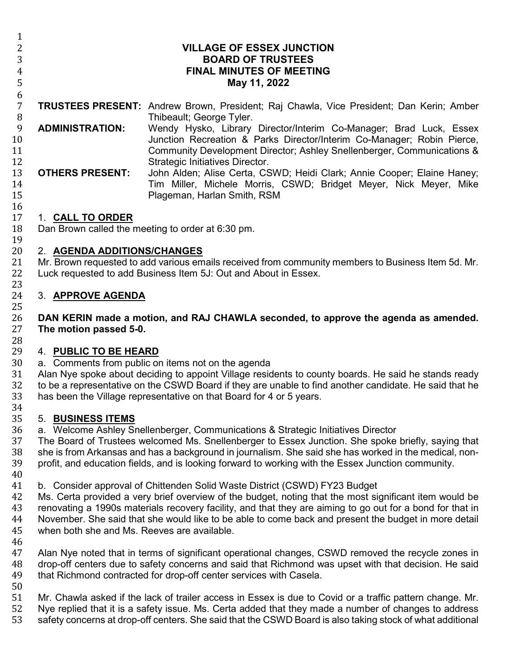| Ŧ,<br>$\overline{c}$<br>3<br>$\overline{4}$<br>5<br>6 |                                                                                                                                                                                                                                                                                                                                                                                                                                                          | <b>VILLAGE OF ESSEX JUNCTION</b><br><b>BOARD OF TRUSTEES</b><br><b>FINAL MINUTES OF MEETING</b><br>May 11, 2022                                                                                                                                                                          |
|-------------------------------------------------------|----------------------------------------------------------------------------------------------------------------------------------------------------------------------------------------------------------------------------------------------------------------------------------------------------------------------------------------------------------------------------------------------------------------------------------------------------------|------------------------------------------------------------------------------------------------------------------------------------------------------------------------------------------------------------------------------------------------------------------------------------------|
| $\overline{7}$<br>8                                   |                                                                                                                                                                                                                                                                                                                                                                                                                                                          | <b>TRUSTEES PRESENT:</b> Andrew Brown, President; Raj Chawla, Vice President; Dan Kerin; Amber<br>Thibeault; George Tyler.                                                                                                                                                               |
| $\overline{9}$<br>10                                  | <b>ADMINISTRATION:</b>                                                                                                                                                                                                                                                                                                                                                                                                                                   | Wendy Hysko, Library Director/Interim Co-Manager; Brad Luck, Essex<br>Junction Recreation & Parks Director/Interim Co-Manager; Robin Pierce,                                                                                                                                             |
| 11<br>12<br>13<br>14<br>15                            | <b>OTHERS PRESENT:</b>                                                                                                                                                                                                                                                                                                                                                                                                                                   | Community Development Director; Ashley Snellenberger, Communications &<br>Strategic Initiatives Director.<br>John Alden; Alise Certa, CSWD; Heidi Clark; Annie Cooper; Elaine Haney;<br>Tim Miller, Michele Morris, CSWD; Bridget Meyer, Nick Meyer, Mike<br>Plageman, Harlan Smith, RSM |
| 16<br>17<br>18<br>19                                  | 1. CALL TO ORDER<br>Dan Brown called the meeting to order at 6:30 pm.                                                                                                                                                                                                                                                                                                                                                                                    |                                                                                                                                                                                                                                                                                          |
| 20<br>21<br>22<br>23                                  | 2. AGENDA ADDITIONS/CHANGES<br>Mr. Brown requested to add various emails received from community members to Business Item 5d. Mr.<br>Luck requested to add Business Item 5J: Out and About in Essex.                                                                                                                                                                                                                                                     |                                                                                                                                                                                                                                                                                          |
| 24<br>25                                              | 3. APPROVE AGENDA                                                                                                                                                                                                                                                                                                                                                                                                                                        |                                                                                                                                                                                                                                                                                          |
| 26<br>27<br>28                                        | DAN KERIN made a motion, and RAJ CHAWLA seconded, to approve the agenda as amended.<br>The motion passed 5-0.                                                                                                                                                                                                                                                                                                                                            |                                                                                                                                                                                                                                                                                          |
| 29<br>30<br>31<br>32<br>33<br>34                      | 4. PUBLIC TO BE HEARD<br>a. Comments from public on items not on the agenda<br>Alan Nye spoke about deciding to appoint Village residents to county boards. He said he stands ready<br>to be a representative on the CSWD Board if they are unable to find another candidate. He said that he<br>has been the Village representative on that Board for 4 or 5 years.                                                                                     |                                                                                                                                                                                                                                                                                          |
| 35<br>36<br>37<br>38<br>39<br>40                      | 5. BUSINESS ITEMS<br>a. Welcome Ashley Snellenberger, Communications & Strategic Initiatives Director<br>The Board of Trustees welcomed Ms. Snellenberger to Essex Junction. She spoke briefly, saying that<br>she is from Arkansas and has a background in journalism. She said she has worked in the medical, non-<br>profit, and education fields, and is looking forward to working with the Essex Junction community.                               |                                                                                                                                                                                                                                                                                          |
| 41<br>42<br>43<br>44<br>45<br>46                      | b. Consider approval of Chittenden Solid Waste District (CSWD) FY23 Budget<br>Ms. Certa provided a very brief overview of the budget, noting that the most significant item would be<br>renovating a 1990s materials recovery facility, and that they are aiming to go out for a bond for that in<br>November. She said that she would like to be able to come back and present the budget in more detail<br>when both she and Ms. Reeves are available. |                                                                                                                                                                                                                                                                                          |

46<br>47 47 Alan Nye noted that in terms of significant operational changes, CSWD removed the recycle zones in<br>48 drop-off centers due to safety concerns and said that Richmond was upset with that decision. He said 48 drop-off centers due to safety concerns and said that Richmond was upset with that decision. He said 49 that Richmond contracted for drop-off center services with Casela. that Richmond contracted for drop-off center services with Casela.

50<br>51 51 Mr. Chawla asked if the lack of trailer access in Essex is due to Covid or a traffic pattern change. Mr.<br>52 Nye replied that it is a safety issue. Ms. Certa added that they made a number of changes to address 52 Nye replied that it is a safety issue. Ms. Certa added that they made a number of changes to address<br>53 safety concerns at drop-off centers. She said that the CSWD Board is also taking stock of what additional

safety concerns at drop-off centers. She said that the CSWD Board is also taking stock of what additional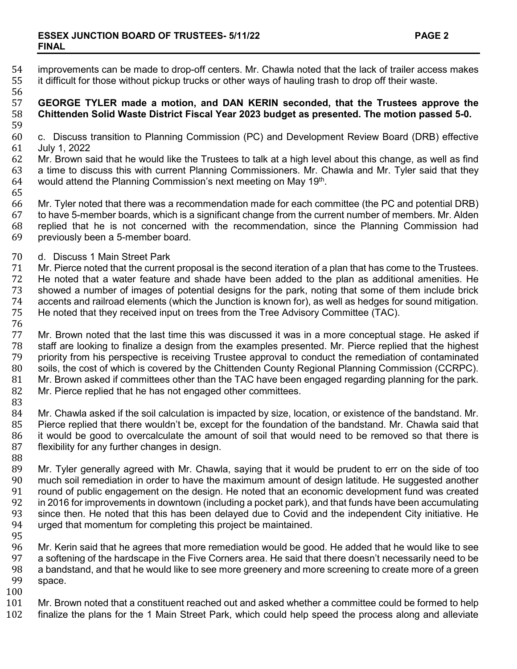- 
- 54 improvements can be made to drop-off centers. Mr. Chawla noted that the lack of trailer access makes<br>55 it difficult for those without pickup trucks or other ways of hauling trash to drop off their waste. It difficult for those without pickup trucks or other ways of hauling trash to drop off their waste.
- 56<br>57

## 57 **GEORGE TYLER made a motion, and DAN KERIN seconded, that the Trustees approve the**  58 **Chittenden Solid Waste District Fiscal Year 2023 budget as presented. The motion passed 5-0.**

- 59<br>60
- 60 c. Discuss transition to Planning Commission (PC) and Development Review Board (DRB) effective 61 July 1, 2022
- 62 Mr. Brown said that he would like the Trustees to talk at a high level about this change, as well as find<br>63 a time to discuss this with current Planning Commissioners. Mr. Chawla and Mr. Tyler said that they 63 a time to discuss this with current Planning Commissioners. Mr. Chawla and Mr. Tyler said that they 64 would attend the Planning Commission's next meeting on May 19<sup>th</sup>. would attend the Planning Commission's next meeting on May 19th.
- 65<br>66
- 66 Mr. Tyler noted that there was a recommendation made for each committee (the PC and potential DRB)<br>67 to have 5-member boards, which is a significant change from the current number of members. Mr. Alden 67 to have 5-member boards, which is a significant change from the current number of members. Mr. Alden 68 replied that he is not concerned with the recommendation, since the Planning Commission had 69 previously been a 5-member board. previously been a 5-member board.
- 70 d. Discuss 1 Main Street Park<br>71 Mr. Pierce noted that the curren
- 71 Mr. Pierce noted that the current proposal is the second iteration of a plan that has come to the Trustees.<br>72 He noted that a water feature and shade have been added to the plan as additional amenities. He
- 72 He noted that a water feature and shade have been added to the plan as additional amenities. He<br>73 Showed a number of images of potential designs for the park, noting that some of them include brick
- 73 showed a number of images of potential designs for the park, noting that some of them include brick
- 74 accents and railroad elements (which the Junction is known for), as well as hedges for sound mitigation.<br>75 He noted that they received input on trees from the Tree Advisory Committee (TAC).
- He noted that they received input on trees from the Tree Advisory Committee (TAC).
- 76<br>77

77 Mr. Brown noted that the last time this was discussed it was in a more conceptual stage. He asked if 78 stafe if the highest 78 staff are looking to finalize a design from the examples presented. Mr. Pierce replied that 78 staff are looking to finalize a design from the examples presented. Mr. Pierce replied that the highest 79 priority from his perspective is receiving Trustee approval to conduct the remediation of contaminated 79 priority from his perspective is receiving Trustee approval to conduct the remediation of contaminated<br>80 soils, the cost of which is covered by the Chittenden County Regional Planning Commission (CCRPC). 80 soils, the cost of which is covered by the Chittenden County Regional Planning Commission (CCRPC).<br>81 Mr. Brown asked if committees other than the TAC have been engaged regarding planning for the park. 81 Mr. Brown asked if committees other than the TAC have been engaged regarding planning for the park.<br>82 Mr. Pierce replied that he has not engaged other committees. Mr. Pierce replied that he has not engaged other committees.

83<br>84 84 Mr. Chawla asked if the soil calculation is impacted by size, location, or existence of the bandstand. Mr.<br>85 Pierce replied that there wouldn't be, except for the foundation of the bandstand. Mr. Chawla said that 85 Pierce replied that there wouldn't be, except for the foundation of the bandstand. Mr. Chawla said that 86<br>86 it would be good to overcalculate the amount of soil that would need to be removed so that there is 86 it would be good to overcalculate the amount of soil that would need to be removed so that there is 87 flexibility for any further changes in design. flexibility for any further changes in design.

88<br>89 89 Mr. Tyler generally agreed with Mr. Chawla, saying that it would be prudent to err on the side of too<br>90 much soil remediation in order to have the maximum amount of design latitude. He suggested another 90 much soil remediation in order to have the maximum amount of design latitude. He suggested another<br>91 vround of public engagement on the design. He noted that an economic development fund was created 91 round of public engagement on the design. He noted that an economic development fund was created<br>92 in 2016 for improvements in downtown (including a pocket park), and that funds have been accumulating 92 in 2016 for improvements in downtown (including a pocket park), and that funds have been accumulating<br>93 since then. He noted that this has been delaved due to Covid and the independent City initiative. He 93 since then. He noted that this has been delayed due to Covid and the independent City initiative. He 94 uraed that momentum for completing this project be maintained. urged that momentum for completing this project be maintained.

95<br>96 96 Mr. Kerin said that he agrees that more remediation would be good. He added that he would like to see 97 a softening of the hardscape in the Five Corners area. He said that there doesn't necessarily need to be<br>98 a bandstand, and that he would like to see more greenery and more screening to create more of a green 98 a bandstand, and that he would like to see more greenery and more screening to create more of a green<br>99 space. space.

 $\begin{array}{c} 100 \ 101 \end{array}$ 

101 Mr. Brown noted that a constituent reached out and asked whether a committee could be formed to help<br>102 finalize the plans for the 1 Main Street Park, which could help speed the process along and alleviate

finalize the plans for the 1 Main Street Park, which could help speed the process along and alleviate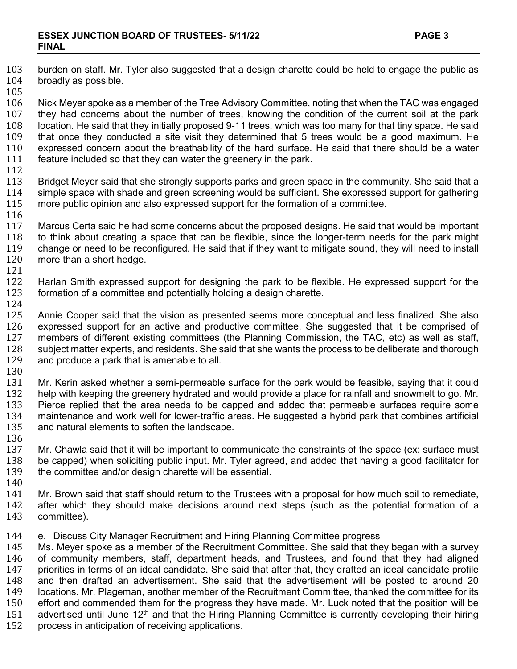- 103 burden on staff. Mr. Tyler also suggested that a design charette could be held to engage the public as 104 broadly as possible. broadly as possible. 105<br>106 106 Nick Meyer spoke as a member of the Tree Advisory Committee, noting that when the TAC was engaged<br>107 they had concerns about the number of trees, knowing the condition of the current soil at the park 107 they had concerns about the number of trees, knowing the condition of the current soil at the park<br>108 location. He said that they initially proposed 9-11 trees, which was too many for that tiny space. He said 108 location. He said that they initially proposed 9-11 trees, which was too many for that tiny space. He said<br>109 that once they conducted a site visit they determined that 5 trees would be a good maximum. He 109 that once they conducted a site visit they determined that 5 trees would be a good maximum. He<br>110 expressed concern about the breathability of the hard surface. He said that there should be a water 110 expressed concern about the breathability of the hard surface. He said that there should be a water 111 feature included so that they can water the greenery in the park. feature included so that they can water the greenery in the park. 112<br>113 113 Bridget Meyer said that she strongly supports parks and green space in the community. She said that a<br>114 simple space with shade and green screening would be sufficient. She expressed support for gathering 114 simple space with shade and green screening would be sufficient. She expressed support for gathering 115 more public opinion and also expressed support for resumention of a committee. more public opinion and also expressed support for the formation of a committee. 116<br>117 117 Marcus Certa said he had some concerns about the proposed designs. He said that would be important 118 to think about creating a space that can be flexible, since the longer-term needs for the park might 118 to think about creating a space that can be flexible, since the longer-term needs for the park might 119 change or need to be reconfigured. He said that if they want to mitigate sound, they will need to install 119 change or need to be reconfigured. He said that if they want to mitigate sound, they will need to install 120 more than a short hedge. more than a short hedge. 121 122 Harlan Smith expressed support for designing the park to be flexible. He expressed support for the 123 formation of a committee and potentially holding a design charactie. formation of a committee and potentially holding a design charette.  $\frac{124}{125}$ 125 Annie Cooper said that the vision as presented seems more conceptual and less finalized. She also<br>126 expressed support for an active and productive committee. She suggested that it be comprised of 126 expressed support for an active and productive committee. She suggested that it be comprised of 127 members of different existing committees (the Planning Commission, the TAC, etc) as well as staff. 127 members of different existing committees (the Planning Commission, the TAC, etc) as well as staff,<br>128 subject matter experts, and residents. She said that she wants the process to be deliberate and thorough 128 subject matter experts, and residents. She said that she wants the process to be deliberate and thorough 129 and produce a park that is amenable to all. and produce a park that is amenable to all. 130<br>131 131 Mr. Kerin asked whether a semi-permeable surface for the park would be feasible, saying that it could 132 help with keeping the greenery hydrated and would provide a place for rainfall and snowmelt to go. Mr. 132 help with keeping the greenery hydrated and would provide a place for rainfall and snowmelt to go. Mr.<br>133 Pierce replied that the area needs to be capped and added that permeable surfaces require some 133 Pierce replied that the area needs to be capped and added that permeable surfaces require some<br>134 maintenance and work well for lower-traffic areas. He suggested a hybrid park that combines artificial 134 maintenance and work well for lower-traffic areas. He suggested a hybrid park that combines artificial 135 and natural elements to soften the landscape. and natural elements to soften the landscape. 136<br>137 137 Mr. Chawla said that it will be important to communicate the constraints of the space (ex: surface must 138<br>138 be capped) when soliciting public input. Mr. Tyler agreed, and added that having a good facilitator for 138 be capped) when soliciting public input. Mr. Tyler agreed, and added that having a good facilitator for 139<br>139 the committee and/or design charette will be essential. the committee and/or design charette will be essential. 140<br>141 141 Mr. Brown said that staff should return to the Trustees with a proposal for how much soil to remediate, 142 after which they should make decisions around next steps (such as the potential formation of a 142 after which they should make decisions around next steps (such as the potential formation of a<br>143 committee). committee). 144 e. Discuss City Manager Recruitment and Hiring Planning Committee progress<br>145 Ms. Meyer spoke as a member of the Recruitment Committee. She said that the 145 Ms. Meyer spoke as a member of the Recruitment Committee. She said that they began with a survey<br>146 of community members, staff, department heads, and Trustees, and found that they had aligned 146 of community members, staff, department heads, and Trustees, and found that they had aligned<br>147 priorities in terms of an ideal candidate. She said that after that, they drafted an ideal candidate profile 147 priorities in terms of an ideal candidate. She said that after that, they drafted an ideal candidate profile<br>148 and then drafted an advertisement. She said that the advertisement will be posted to around 20 148 and then drafted an advertisement. She said that the advertisement will be posted to around 20<br>149 locations. Mr. Plageman, another member of the Recruitment Committee, thanked the committee for its 149 locations. Mr. Plageman, another member of the Recruitment Committee, thanked the committee for its 150 effort and commended them for the progress they have made. Mr. Luck noted that the position will be 151 advertised until June 12<sup>th</sup> and that the Hiring Planning Committee is currently developing their hiring 151 advertised until June 12<sup>th</sup> and that the Hiring Planning Committee is currently developing their hiring 152 process in anticipation of receiving applications.
- process in anticipation of receiving applications.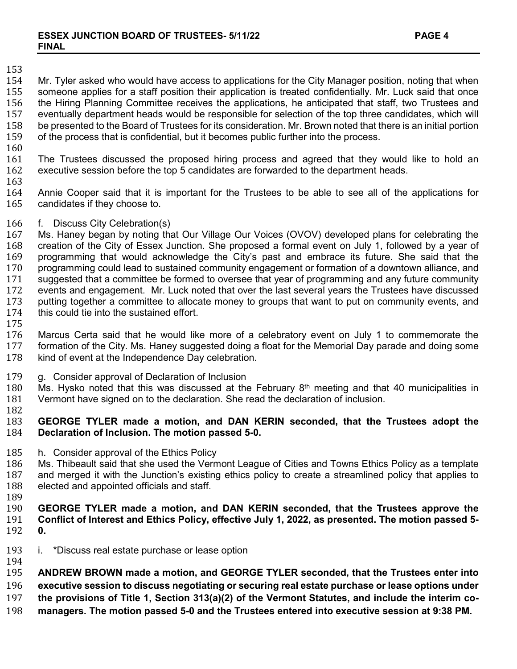# 153<br>154

154 Mr. Tyler asked who would have access to applications for the City Manager position, noting that when<br>155 someone applies for a staff position their application is treated confidentially. Mr. Luck said that once 155 someone applies for a staff position their application is treated confidentially. Mr. Luck said that once 156 the Hiring Planning Committee receives the applications, he anticipated that staff, two Trustees and<br>157 eventually department heads would be responsible for selection of the top three candidates, which will 157 eventually department heads would be responsible for selection of the top three candidates, which will<br>158 be presented to the Board of Trustees for its consideration. Mr. Brown noted that there is an initial portion 158 be presented to the Board of Trustees for its consideration. Mr. Brown noted that there is an initial portion<br>159 of the process that is confidential, but it becomes public further into the process. of the process that is confidential, but it becomes public further into the process.

 $\frac{160}{161}$ 161 The Trustees discussed the proposed hiring process and agreed that they would like to hold an 162 executive session before the top 5 candidates are forwarded to the department heads. executive session before the top 5 candidates are forwarded to the department heads.

163<br>164 164 Annie Cooper said that it is important for the Trustees to be able to see all of the applications for candidates if they choose to.

166 f. Discuss City Celebration(s)<br>167 Ms. Haney began by noting tha 167 Ms. Haney began by noting that Our Village Our Voices (OVOV) developed plans for celebrating the 168 creation of the City of Essex Junction. She proposed a formal event on July 1, followed by a vear of 168 creation of the City of Essex Junction. She proposed a formal event on July 1, followed by a year of 169 por<br>169 programming that would acknowledge the City's past and embrace its future. She said that the 169 brogramming that would acknowledge the City's past and embrace its future. She said that the 170 programming could lead to sustained community engagement or formation of a downtown alliance, and 170 programming could lead to sustained community engagement or formation of a downtown alliance, and 171 suggested that a committee be formed to oversee that year of programming and any future community<br>172 events and engagement. Mr. Luck noted that over the last several years the Trustees have discussed 172 events and engagement. Mr. Luck noted that over the last several years the Trustees have discussed<br>173 butting together a committee to allocate money to groups that want to put on community events, and 173 putting together a committee to allocate money to groups that want to put on community events, and 174 this could tie into the sustained effort. this could tie into the sustained effort.

175<br>176 176 Marcus Certa said that he would like more of a celebratory event on July 1 to commemorate the<br>177 formation of the City. Ms. Haney suggested doing a float for the Memorial Day parade and doing some 177 formation of the City. Ms. Haney suggested doing a float for the Memorial Day parade and doing some 178<br>178 kind of event at the Independence Day celebration. kind of event at the Independence Day celebration.

- 179 g. Consider approval of Declaration of Inclusion<br>180 Ms. Hysko noted that this was discussed at the
- 180 Ms. Hysko noted that this was discussed at the February  $8<sup>th</sup>$  meeting and that 40 municipalities in 181 Vermont have signed on to the declaration. She read the declaration of inclusion. Vermont have signed on to the declaration. She read the declaration of inclusion.
- 182

## 183 **GEORGE TYLER made a motion, and DAN KERIN seconded, that the Trustees adopt the**  Declaration of Inclusion. The motion passed 5-0.

185 h. Consider approval of the Ethics Policy<br>186 Ms. Thibeault said that she used the Verm

186 Ms. Thibeault said that she used the Vermont League of Cities and Towns Ethics Policy as a template<br>187 and merged it with the Junction's existing ethics policy to create a streamlined policy that applies to 187 and merged it with the Junction's existing ethics policy to create a streamlined policy that applies to 188<br>188 elected and appointed officials and staff. elected and appointed officials and staff.

- 
- 189<br>190 190 **GEORGE TYLER made a motion, and DAN KERIN seconded, that the Trustees approve the**  Conflict of Interest and Ethics Policy, effective July 1, 2022, as presented. The motion passed 5-<br>0. 192 **0.**
- 193 i. \*Discuss real estate purchase or lease option
- 194<br>195

195 **ANDREW BROWN made a motion, and GEORGE TYLER seconded, that the Trustees enter into** 

executive session to discuss negotiating or securing real estate purchase or lease options under

- 197 **the provisions of Title 1, Section 313(a)(2) of the Vermont Statutes, and include the interim co-**
- 198 **managers. The motion passed 5-0 and the Trustees entered into executive session at 9:38 PM.**